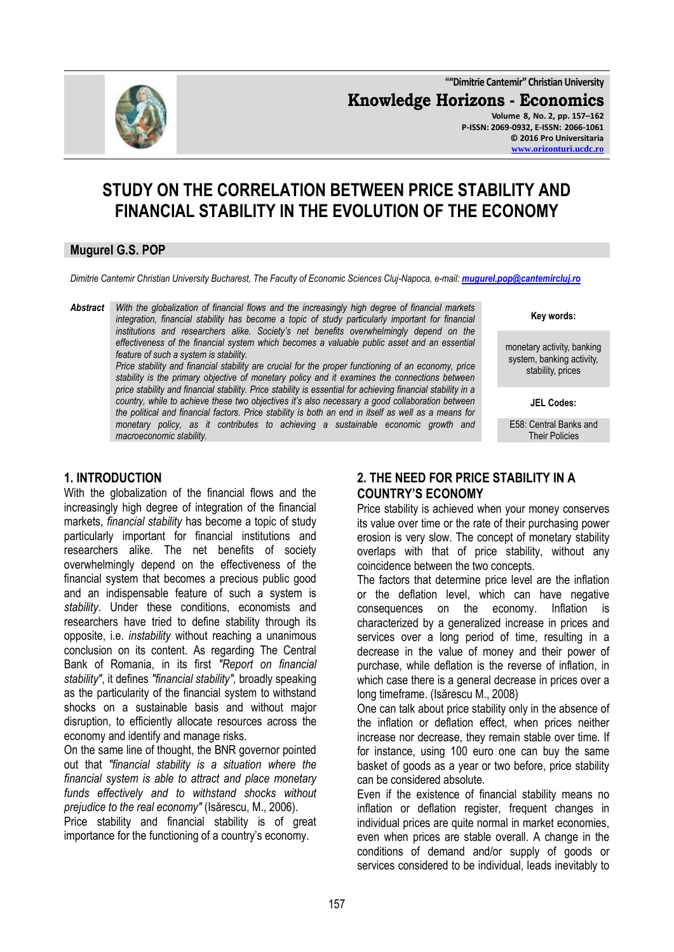**""Dimitrie Cantemir" Christian University**

**Knowledge Horizons - Economics**



**Volume 8, No. 2, pp. 157–162 P-ISSN: 2069-0932, E-ISSN: 2066-1061 © 2016 Pro Universitaria [www.orizonturi.ucdc.ro](http://www.orizonturi.ucdc.ro/)**

# **STUDY ON THE CORRELATION BETWEEN PRICE STABILITY AND FINANCIAL STABILITY IN THE EVOLUTION OF THE ECONOMY**

## **Mugurel G.S. POP**

*Dimitrie Cantemir Christian University Bucharest, The Faculty of Economic Sciences Cluj-Napoca, e-mail: [mugurel.pop@cantemircluj.ro](mailto:mugurel.pop@cantemircluj.ro)*

*Abstract With the globalization of financial flows and the increasingly high degree of financial markets integration, financial stability has become a topic of study particularly important for financial institutions and researchers alike. Society's net benefits overwhelmingly depend on the effectiveness of the financial system which becomes a valuable public asset and an essential feature of such a system is stability.* 

*Price stability and financial stability are crucial for the proper functioning of an economy, price stability is the primary objective of monetary policy and it examines the connections between price stability and financial stability. Price stability is essential for achieving financial stability in a country, while to achieve these two objectives it's also necessary a good collaboration between the political and financial factors. Price stability is both an end in itself as well as a means for monetary policy, as it contributes to achieving a sustainable economic growth and macroeconomic stability.*

## **Key words:**

monetary activity, banking system, banking activity, stability, prices

**JEL Codes:**

E58: Central Banks and Their Policies

#### **1. INTRODUCTION**

With the globalization of the financial flows and the increasingly high degree of integration of the financial markets, *financial stability* has become a topic of study particularly important for financial institutions and researchers alike. The net benefits of society overwhelmingly depend on the effectiveness of the financial system that becomes a precious public good and an indispensable feature of such a system is *stability*. Under these conditions, economists and researchers have tried to define stability through its opposite, i.e. *instability* without reaching a unanimous conclusion on its content. As regarding The Central Bank of Romania, in its first *"Report on financial stability"*, it defines *"financial stability",* broadly speaking as the particularity of the financial system to withstand shocks on a sustainable basis and without major disruption, to efficiently allocate resources across the economy and identify and manage risks.

On the same line of thought, the BNR governor pointed out that *"financial stability is a situation where the financial system is able to attract and place monetary funds effectively and to withstand shocks without prejudice to the real economy"* (Isărescu, M., 2006).

Price stability and financial stability is of great importance for the functioning of a country's economy.

## **2. THE NEED FOR PRICE STABILITY IN A COUNTRY'S ECONOMY**

Price stability is achieved when your money conserves its value over time or the rate of their purchasing power erosion is very slow. The concept of monetary stability overlaps with that of price stability, without any coincidence between the two concepts.

The factors that determine price level are the inflation or the deflation level, which can have negative consequences on the economy. Inflation is characterized by a generalized increase in prices and services over a long period of time, resulting in a decrease in the value of money and their power of purchase, while deflation is the reverse of inflation, in which case there is a general decrease in prices over a long timeframe. (Isărescu M., 2008)

One can talk about price stability only in the absence of the inflation or deflation effect, when prices neither increase nor decrease, they remain stable over time. If for instance, using 100 euro one can buy the same basket of goods as a year or two before, price stability can be considered absolute.

Even if the existence of financial stability means no inflation or deflation register, frequent changes in individual prices are quite normal in market economies, even when prices are stable overall. A change in the conditions of demand and/or supply of goods or services considered to be individual, leads inevitably to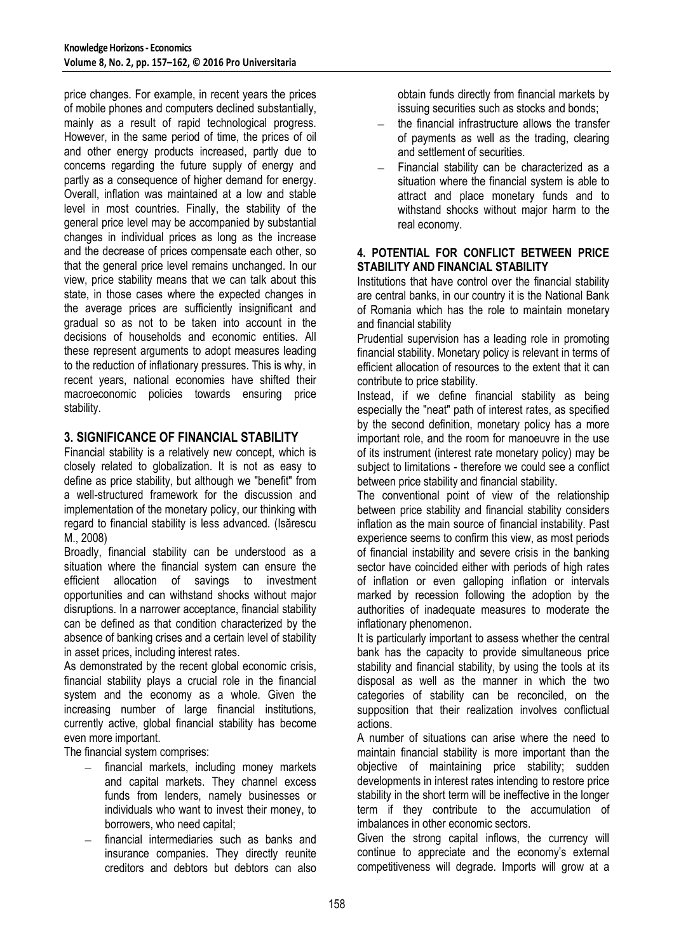price changes. For example, in recent years the prices of mobile phones and computers declined substantially, mainly as a result of rapid technological progress. However, in the same period of time, the prices of oil and other energy products increased, partly due to concerns regarding the future supply of energy and partly as a consequence of higher demand for energy. Overall, inflation was maintained at a low and stable level in most countries. Finally, the stability of the general price level may be accompanied by substantial changes in individual prices as long as the increase and the decrease of prices compensate each other, so that the general price level remains unchanged. In our view, price stability means that we can talk about this state, in those cases where the expected changes in the average prices are sufficiently insignificant and gradual so as not to be taken into account in the decisions of households and economic entities. All these represent arguments to adopt measures leading to the reduction of inflationary pressures. This is why, in recent years, national economies have shifted their macroeconomic policies towards ensuring price stability.

## **3. SIGNIFICANCE OF FINANCIAL STABILITY**

Financial stability is a relatively new concept, which is closely related to globalization. It is not as easy to define as price stability, but although we "benefit" from a well-structured framework for the discussion and implementation of the monetary policy, our thinking with regard to financial stability is less advanced. (Isărescu M., 2008)

Broadly, financial stability can be understood as a situation where the financial system can ensure the efficient allocation of savings to investment opportunities and can withstand shocks without major disruptions. In a narrower acceptance, financial stability can be defined as that condition characterized by the absence of banking crises and a certain level of stability in asset prices, including interest rates.

As demonstrated by the recent global economic crisis. financial stability plays a crucial role in the financial system and the economy as a whole. Given the increasing number of large financial institutions, currently active, global financial stability has become even more important.

The financial system comprises:

- financial markets, including money markets and capital markets. They channel excess funds from lenders, namely businesses or individuals who want to invest their money, to borrowers, who need capital;
- financial intermediaries such as banks and insurance companies. They directly reunite creditors and debtors but debtors can also

obtain funds directly from financial markets by issuing securities such as stocks and bonds;

- the financial infrastructure allows the transfer of payments as well as the trading, clearing and settlement of securities.
- Financial stability can be characterized as a situation where the financial system is able to attract and place monetary funds and to withstand shocks without major harm to the real economy.

#### **4. POTENTIAL FOR CONFLICT BETWEEN PRICE STABILITY AND FINANCIAL STABILITY**

Institutions that have control over the financial stability are central banks, in our country it is the National Bank of Romania which has the role to maintain monetary and financial stability

Prudential supervision has a leading role in promoting financial stability. Monetary policy is relevant in terms of efficient allocation of resources to the extent that it can contribute to price stability.

Instead, if we define financial stability as being especially the "neat" path of interest rates, as specified by the second definition, monetary policy has a more important role, and the room for manoeuvre in the use of its instrument (interest rate monetary policy) may be subject to limitations - therefore we could see a conflict between price stability and financial stability.

The conventional point of view of the relationship between price stability and financial stability considers inflation as the main source of financial instability. Past experience seems to confirm this view, as most periods of financial instability and severe crisis in the banking sector have coincided either with periods of high rates of inflation or even galloping inflation or intervals marked by recession following the adoption by the authorities of inadequate measures to moderate the inflationary phenomenon.

It is particularly important to assess whether the central bank has the capacity to provide simultaneous price stability and financial stability, by using the tools at its disposal as well as the manner in which the two categories of stability can be reconciled, on the supposition that their realization involves conflictual actions.

A number of situations can arise where the need to maintain financial stability is more important than the objective of maintaining price stability; sudden developments in interest rates intending to restore price stability in the short term will be ineffective in the longer term if they contribute to the accumulation of imbalances in other economic sectors.

Given the strong capital inflows, the currency will continue to appreciate and the economy's external competitiveness will degrade. Imports will grow at a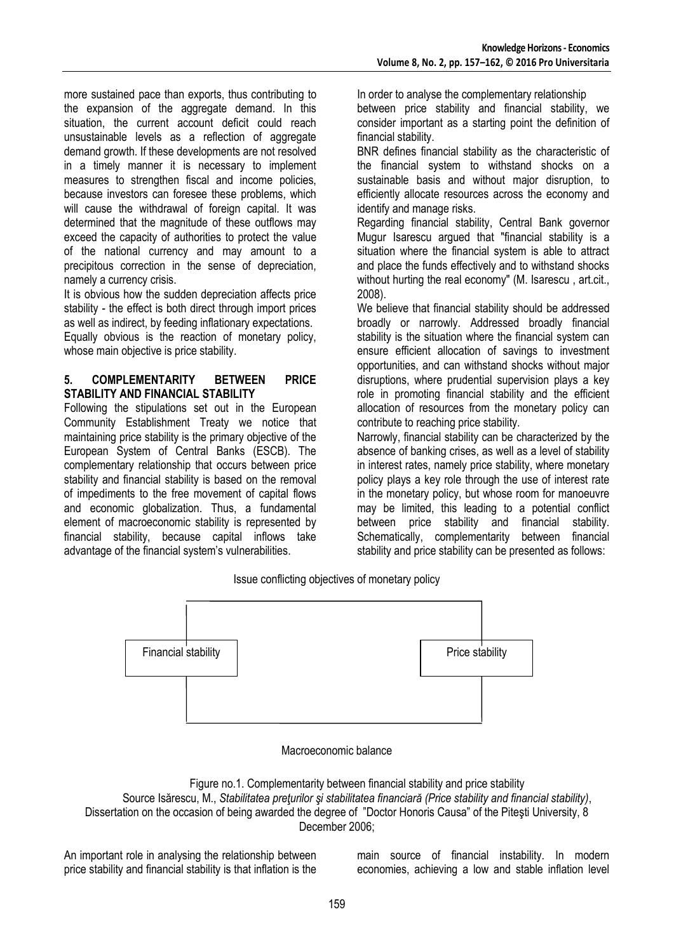more sustained pace than exports, thus contributing to the expansion of the aggregate demand. In this situation, the current account deficit could reach unsustainable levels as a reflection of aggregate demand growth. If these developments are not resolved in a timely manner it is necessary to implement measures to strengthen fiscal and income policies, because investors can foresee these problems, which will cause the withdrawal of foreign capital. It was determined that the magnitude of these outflows may exceed the capacity of authorities to protect the value of the national currency and may amount to a precipitous correction in the sense of depreciation, namely a currency crisis.

It is obvious how the sudden depreciation affects price stability - the effect is both direct through import prices as well as indirect, by feeding inflationary expectations. Equally obvious is the reaction of monetary policy, whose main objective is price stability.

#### **5. COMPLEMENTARITY BETWEEN PRICE STABILITY AND FINANCIAL STABILITY**

Following the stipulations set out in the European Community Establishment Treaty we notice that maintaining price stability is the primary objective of the European System of Central Banks (ESCB). The complementary relationship that occurs between price stability and financial stability is based on the removal of impediments to the free movement of capital flows and economic globalization. Thus, a fundamental element of macroeconomic stability is represented by financial stability, because capital inflows take advantage of the financial system's vulnerabilities.

In order to analyse the complementary relationship between price stability and financial stability, we consider important as a starting point the definition of financial stability.

BNR defines financial stability as the characteristic of the financial system to withstand shocks on a sustainable basis and without major disruption, to efficiently allocate resources across the economy and identify and manage risks.

Regarding financial stability, Central Bank governor Mugur Isarescu argued that "financial stability is a situation where the financial system is able to attract and place the funds effectively and to withstand shocks without hurting the real economy" (M. Isarescu , art.cit., 2008).

We believe that financial stability should be addressed broadly or narrowly. Addressed broadly financial stability is the situation where the financial system can ensure efficient allocation of savings to investment opportunities, and can withstand shocks without major disruptions, where prudential supervision plays a key role in promoting financial stability and the efficient allocation of resources from the monetary policy can contribute to reaching price stability.

Narrowly, financial stability can be characterized by the absence of banking crises, as well as a level of stability in interest rates, namely price stability, where monetary policy plays a key role through the use of interest rate in the monetary policy, but whose room for manoeuvre may be limited, this leading to a potential conflict between price stability and financial stability. Schematically, complementarity between financial stability and price stability can be presented as follows:

Issue conflicting objectives of monetary policy



Macroeconomic balance

Figure no.1. Complementarity between financial stability and price stability Source Isărescu, M., *Stabilitatea preţurilor şi stabilitatea financiară (Price stability and financial stability)*, Dissertation on the occasion of being awarded the degree of "Doctor Honoris Causa" of the Piteşti University, 8 December 2006;

An important role in analysing the relationship between price stability and financial stability is that inflation is the main source of financial instability. In modern economies, achieving a low and stable inflation level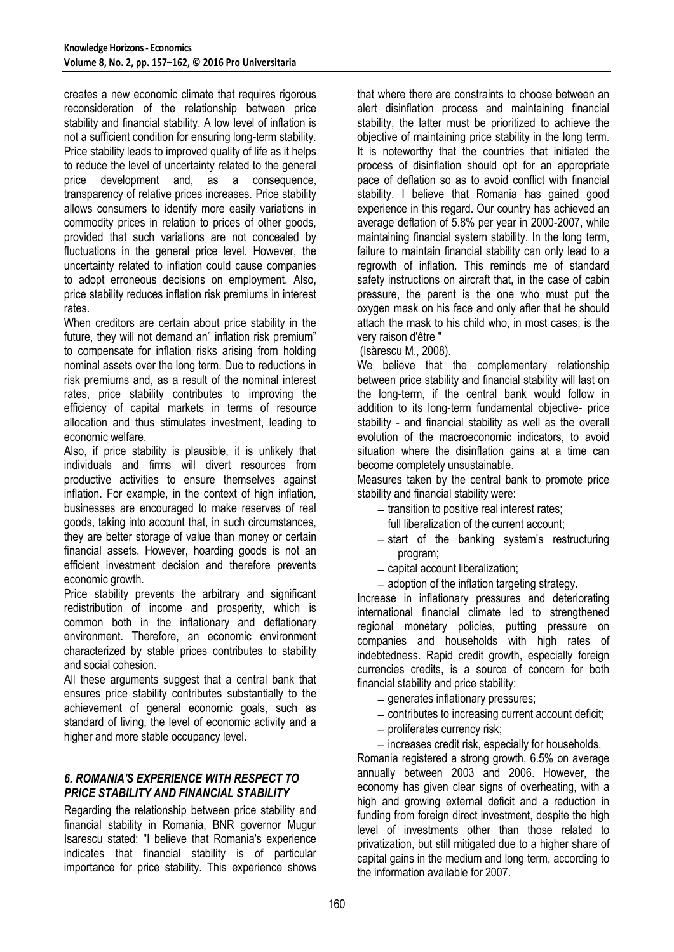creates a new economic climate that requires rigorous reconsideration of the relationship between price stability and financial stability. A low level of inflation is not a sufficient condition for ensuring long-term stability. Price stability leads to improved quality of life as it helps to reduce the level of uncertainty related to the general price development and, as a consequence, transparency of relative prices increases. Price stability allows consumers to identify more easily variations in commodity prices in relation to prices of other goods, provided that such variations are not concealed by fluctuations in the general price level. However, the uncertainty related to inflation could cause companies to adopt erroneous decisions on employment. Also, price stability reduces inflation risk premiums in interest rates.

When creditors are certain about price stability in the future, they will not demand an" inflation risk premium" to compensate for inflation risks arising from holding nominal assets over the long term. Due to reductions in risk premiums and, as a result of the nominal interest rates, price stability contributes to improving the efficiency of capital markets in terms of resource allocation and thus stimulates investment, leading to economic welfare.

Also, if price stability is plausible, it is unlikely that individuals and firms will divert resources from productive activities to ensure themselves against inflation. For example, in the context of high inflation, businesses are encouraged to make reserves of real goods, taking into account that, in such circumstances, they are better storage of value than money or certain financial assets. However, hoarding goods is not an efficient investment decision and therefore prevents economic growth.

Price stability prevents the arbitrary and significant redistribution of income and prosperity, which is common both in the inflationary and deflationary environment. Therefore, an economic environment characterized by stable prices contributes to stability and social cohesion.

All these arguments suggest that a central bank that ensures price stability contributes substantially to the achievement of general economic goals, such as standard of living, the level of economic activity and a higher and more stable occupancy level.

#### *6. ROMANIA'S EXPERIENCE WITH RESPECT TO PRICE STABILITY AND FINANCIAL STABILITY*

Regarding the relationship between price stability and financial stability in Romania, BNR governor Mugur Isarescu stated: "I believe that Romania's experience indicates that financial stability is of particular importance for price stability. This experience shows that where there are constraints to choose between an alert disinflation process and maintaining financial stability, the latter must be prioritized to achieve the objective of maintaining price stability in the long term. It is noteworthy that the countries that initiated the process of disinflation should opt for an appropriate pace of deflation so as to avoid conflict with financial stability. I believe that Romania has gained good experience in this regard. Our country has achieved an average deflation of 5.8% per year in 2000-2007, while maintaining financial system stability. In the long term, failure to maintain financial stability can only lead to a regrowth of inflation. This reminds me of standard safety instructions on aircraft that, in the case of cabin pressure, the parent is the one who must put the oxygen mask on his face and only after that he should attach the mask to his child who, in most cases, is the very raison d'être "

(Isărescu M., 2008).

We believe that the complementary relationship between price stability and financial stability will last on the long-term, if the central bank would follow in addition to its long-term fundamental objective- price stability - and financial stability as well as the overall evolution of the macroeconomic indicators, to avoid situation where the disinflation gains at a time can become completely unsustainable.

Measures taken by the central bank to promote price stability and financial stability were:

- $-$  transition to positive real interest rates:
- $-$  full liberalization of the current account;
- $-$  start of the banking system's restructuring program;
- $-$  capital account liberalization;
- $-$  adoption of the inflation targeting strategy.

Increase in inflationary pressures and deteriorating international financial climate led to strengthened regional monetary policies, putting pressure on companies and households with high rates of indebtedness. Rapid credit growth, especially foreign currencies credits, is a source of concern for both financial stability and price stability:

 $-$  generates inflationary pressures;

- $-$  contributes to increasing current account deficit;
- $-$  proliferates currency risk;
- $-$  increases credit risk, especially for households.

Romania registered a strong growth, 6.5% on average annually between 2003 and 2006. However, the economy has given clear signs of overheating, with a high and growing external deficit and a reduction in funding from foreign direct investment, despite the high level of investments other than those related to privatization, but still mitigated due to a higher share of capital gains in the medium and long term, according to the information available for 2007.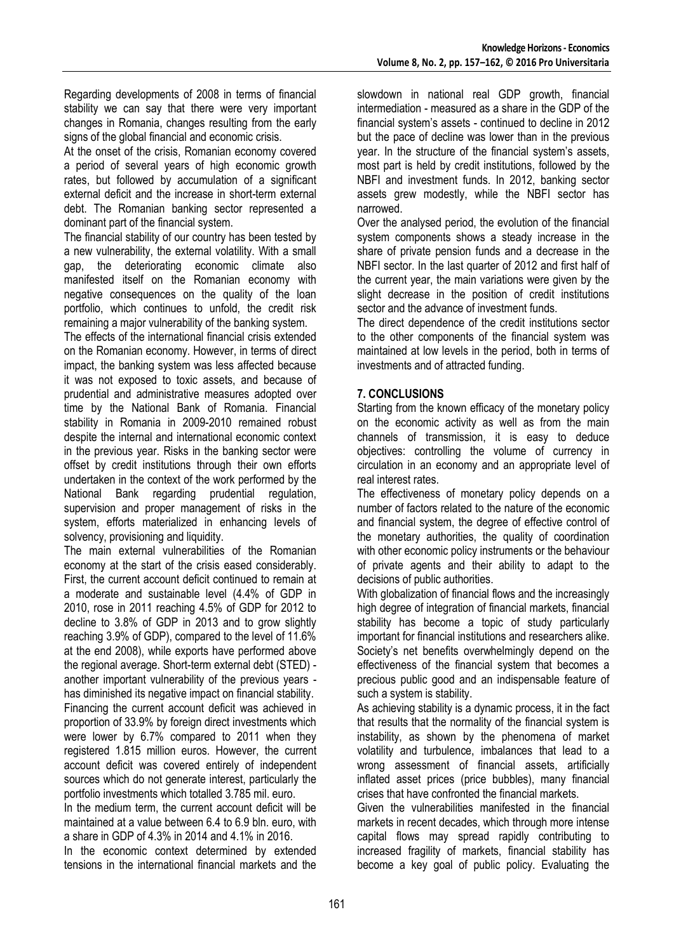Regarding developments of 2008 in terms of financial stability we can say that there were very important changes in Romania, changes resulting from the early signs of the global financial and economic crisis.

At the onset of the crisis, Romanian economy covered a period of several years of high economic growth rates, but followed by accumulation of a significant external deficit and the increase in short-term external debt. The Romanian banking sector represented a dominant part of the financial system.

The financial stability of our country has been tested by a new vulnerability, the external volatility. With a small gap, the deteriorating economic climate also manifested itself on the Romanian economy with negative consequences on the quality of the loan portfolio, which continues to unfold, the credit risk remaining a major vulnerability of the banking system.

The effects of the international financial crisis extended on the Romanian economy. However, in terms of direct impact, the banking system was less affected because it was not exposed to toxic assets, and because of prudential and administrative measures adopted over time by the National Bank of Romania. Financial stability in Romania in 2009-2010 remained robust despite the internal and international economic context in the previous year. Risks in the banking sector were offset by credit institutions through their own efforts undertaken in the context of the work performed by the National Bank regarding prudential regulation, supervision and proper management of risks in the system, efforts materialized in enhancing levels of solvency, provisioning and liquidity.

The main external vulnerabilities of the Romanian economy at the start of the crisis eased considerably. First, the current account deficit continued to remain at a moderate and sustainable level (4.4% of GDP in 2010, rose in 2011 reaching 4.5% of GDP for 2012 to decline to 3.8% of GDP in 2013 and to grow slightly reaching 3.9% of GDP), compared to the level of 11.6% at the end 2008), while exports have performed above the regional average. Short-term external debt (STED) another important vulnerability of the previous years has diminished its negative impact on financial stability. Financing the current account deficit was achieved in proportion of 33.9% by foreign direct investments which were lower by 6.7% compared to 2011 when they registered 1.815 million euros. However, the current account deficit was covered entirely of independent sources which do not generate interest, particularly the portfolio investments which totalled 3.785 mil. euro.

In the medium term, the current account deficit will be maintained at a value between 6.4 to 6.9 bln. euro, with a share in GDP of 4.3% in 2014 and 4.1% in 2016.

In the economic context determined by extended tensions in the international financial markets and the

slowdown in national real GDP growth, financial intermediation - measured as a share in the GDP of the financial system's assets - continued to decline in 2012 but the pace of decline was lower than in the previous year. In the structure of the financial system's assets, most part is held by credit institutions, followed by the NBFI and investment funds. In 2012, banking sector assets grew modestly, while the NBFI sector has narrowed.

Over the analysed period, the evolution of the financial system components shows a steady increase in the share of private pension funds and a decrease in the NBFI sector. In the last quarter of 2012 and first half of the current year, the main variations were given by the slight decrease in the position of credit institutions sector and the advance of investment funds.

The direct dependence of the credit institutions sector to the other components of the financial system was maintained at low levels in the period, both in terms of investments and of attracted funding.

## **7. CONCLUSIONS**

Starting from the known efficacy of the monetary policy on the economic activity as well as from the main channels of transmission, it is easy to deduce objectives: controlling the volume of currency in circulation in an economy and an appropriate level of real interest rates.

The effectiveness of monetary policy depends on a number of factors related to the nature of the economic and financial system, the degree of effective control of the monetary authorities, the quality of coordination with other economic policy instruments or the behaviour of private agents and their ability to adapt to the decisions of public authorities.

With globalization of financial flows and the increasingly high degree of integration of financial markets, financial stability has become a topic of study particularly important for financial institutions and researchers alike. Society's net benefits overwhelmingly depend on the effectiveness of the financial system that becomes a precious public good and an indispensable feature of such a system is stability.

As achieving stability is a dynamic process, it in the fact that results that the normality of the financial system is instability, as shown by the phenomena of market volatility and turbulence, imbalances that lead to a wrong assessment of financial assets, artificially inflated asset prices (price bubbles), many financial crises that have confronted the financial markets.

Given the vulnerabilities manifested in the financial markets in recent decades, which through more intense capital flows may spread rapidly contributing to increased fragility of markets, financial stability has become a key goal of public policy. Evaluating the